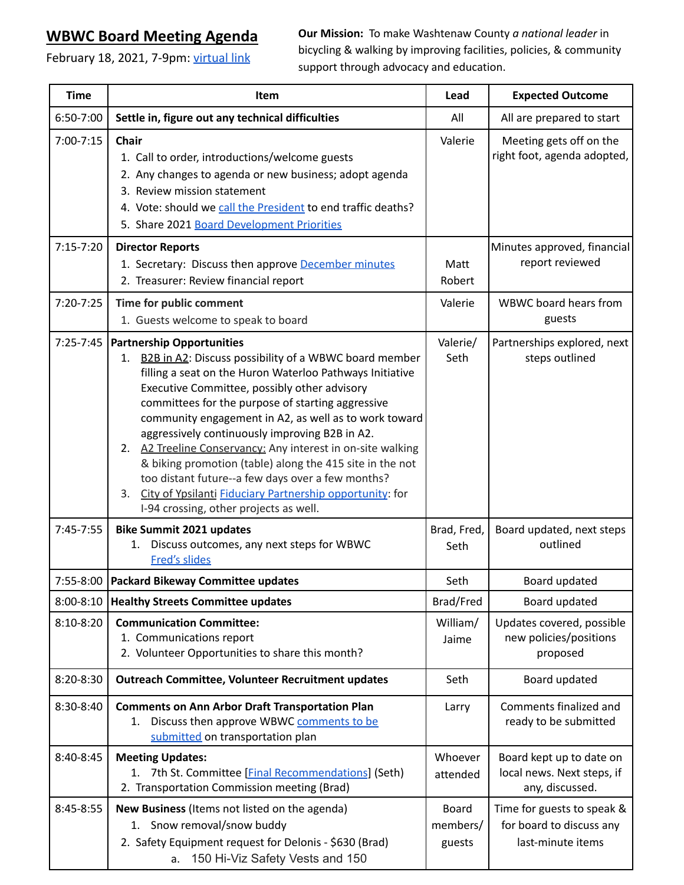## **WBWC Board Meeting Agenda**

February 18, 2021, 7-9pm: [virtual link](https://us02web.zoom.us/j/83806909236?pwd=VEREWitXOSs3VDZra0VWclFoNGREUT09)

**Our Mission:** To make Washtenaw County *a national leader* in bicycling & walking by improving facilities, policies, & community support through advocacy and education.

| <b>Time</b> | Item                                                                                                                                                                                                                                                                                                                                                                                                                                                                                                                                                                                                                                                                           | Lead                               | <b>Expected Outcome</b>                                                     |
|-------------|--------------------------------------------------------------------------------------------------------------------------------------------------------------------------------------------------------------------------------------------------------------------------------------------------------------------------------------------------------------------------------------------------------------------------------------------------------------------------------------------------------------------------------------------------------------------------------------------------------------------------------------------------------------------------------|------------------------------------|-----------------------------------------------------------------------------|
| 6:50-7:00   | Settle in, figure out any technical difficulties                                                                                                                                                                                                                                                                                                                                                                                                                                                                                                                                                                                                                               | All                                | All are prepared to start                                                   |
| 7:00-7:15   | Chair<br>1. Call to order, introductions/welcome guests<br>2. Any changes to agenda or new business; adopt agenda<br>3. Review mission statement<br>4. Vote: should we call the President to end traffic deaths?<br>5. Share 2021 Board Development Priorities                                                                                                                                                                                                                                                                                                                                                                                                                 | Valerie                            | Meeting gets off on the<br>right foot, agenda adopted,                      |
| $7:15-7:20$ | <b>Director Reports</b><br>1. Secretary: Discuss then approve December minutes<br>2. Treasurer: Review financial report                                                                                                                                                                                                                                                                                                                                                                                                                                                                                                                                                        | Matt<br>Robert                     | Minutes approved, financial<br>report reviewed                              |
| 7:20-7:25   | Time for public comment<br>1. Guests welcome to speak to board                                                                                                                                                                                                                                                                                                                                                                                                                                                                                                                                                                                                                 | Valerie                            | WBWC board hears from<br>guests                                             |
| 7:25-7:45   | <b>Partnership Opportunities</b><br><b>B2B in A2: Discuss possibility of a WBWC board member</b><br>1.<br>filling a seat on the Huron Waterloo Pathways Initiative<br>Executive Committee, possibly other advisory<br>committees for the purpose of starting aggressive<br>community engagement in A2, as well as to work toward<br>aggressively continuously improving B2B in A2.<br>2. A2 Treeline Conservancy: Any interest in on-site walking<br>& biking promotion (table) along the 415 site in the not<br>too distant future--a few days over a few months?<br>City of Ypsilanti Fiduciary Partnership opportunity: for<br>3.<br>I-94 crossing, other projects as well. | Valerie/<br>Seth                   | Partnerships explored, next<br>steps outlined                               |
| $7:45-7:55$ | <b>Bike Summit 2021 updates</b><br>Discuss outcomes, any next steps for WBWC<br>1.<br><b>Fred's slides</b>                                                                                                                                                                                                                                                                                                                                                                                                                                                                                                                                                                     | Brad, Fred,<br>Seth                | Board updated, next steps<br>outlined                                       |
|             | 7:55-8:00   Packard Bikeway Committee updates                                                                                                                                                                                                                                                                                                                                                                                                                                                                                                                                                                                                                                  | Seth                               | Board updated                                                               |
| 8:00-8:10   | <b>Healthy Streets Committee updates</b>                                                                                                                                                                                                                                                                                                                                                                                                                                                                                                                                                                                                                                       | Brad/Fred                          | Board updated                                                               |
| 8:10-8:20   | <b>Communication Committee:</b><br>1. Communications report<br>2. Volunteer Opportunities to share this month?                                                                                                                                                                                                                                                                                                                                                                                                                                                                                                                                                                 | William/<br>Jaime                  | Updates covered, possible<br>new policies/positions<br>proposed             |
| 8:20-8:30   | Outreach Committee, Volunteer Recruitment updates                                                                                                                                                                                                                                                                                                                                                                                                                                                                                                                                                                                                                              | Seth                               | Board updated                                                               |
| 8:30-8:40   | <b>Comments on Ann Arbor Draft Transportation Plan</b><br>Discuss then approve WBWC comments to be<br>1.<br>submitted on transportation plan                                                                                                                                                                                                                                                                                                                                                                                                                                                                                                                                   | Larry                              | Comments finalized and<br>ready to be submitted                             |
| 8:40-8:45   | <b>Meeting Updates:</b><br>1. 7th St. Committee [Final Recommendations] (Seth)<br>2. Transportation Commission meeting (Brad)                                                                                                                                                                                                                                                                                                                                                                                                                                                                                                                                                  | Whoever<br>attended                | Board kept up to date on<br>local news. Next steps, if<br>any, discussed.   |
| 8:45-8:55   | New Business (Items not listed on the agenda)<br>1. Snow removal/snow buddy<br>2. Safety Equipment request for Delonis - \$630 (Brad)<br>150 Hi-Viz Safety Vests and 150<br>a.                                                                                                                                                                                                                                                                                                                                                                                                                                                                                                 | <b>Board</b><br>members/<br>guests | Time for guests to speak &<br>for board to discuss any<br>last-minute items |